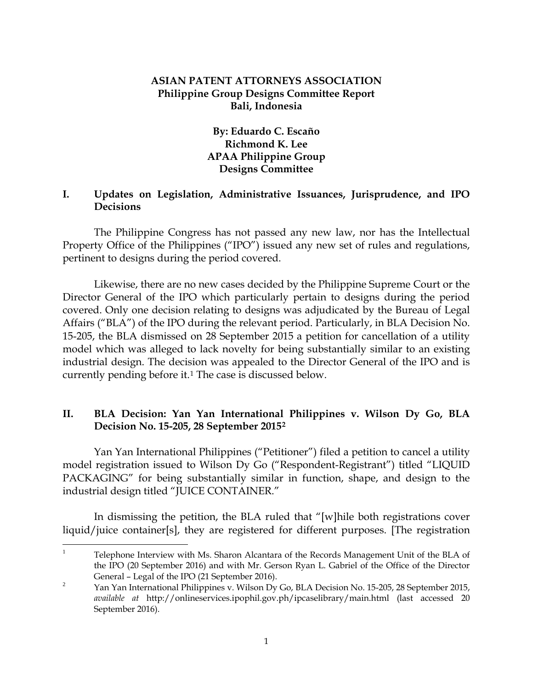### **ASIAN PATENT ATTORNEYS ASSOCIATION Philippine Group Designs Committee Report Bali, Indonesia**

# **By: Eduardo C. Escaño Richmond K. Lee APAA Philippine Group Designs Committee**

## **I. Updates on Legislation, Administrative Issuances, Jurisprudence, and IPO Decisions**

The Philippine Congress has not passed any new law, nor has the Intellectual Property Office of the Philippines ("IPO") issued any new set of rules and regulations, pertinent to designs during the period covered.

Likewise, there are no new cases decided by the Philippine Supreme Court or the Director General of the IPO which particularly pertain to designs during the period covered. Only one decision relating to designs was adjudicated by the Bureau of Legal Affairs ("BLA") of the IPO during the relevant period. Particularly, in BLA Decision No. 15-205, the BLA dismissed on 28 September 2015 a petition for cancellation of a utility model which was alleged to lack novelty for being substantially similar to an existing industrial design. The decision was appealed to the Director General of the IPO and is currently pending before it.[1](#page-0-0) The case is discussed below.

## **II. BLA Decision: Yan Yan International Philippines v. Wilson Dy Go, BLA Decision No. 15-205, 28 September 2015[2](#page-0-1)**

Yan Yan International Philippines ("Petitioner") filed a petition to cancel a utility model registration issued to Wilson Dy Go ("Respondent-Registrant") titled "LIQUID PACKAGING" for being substantially similar in function, shape, and design to the industrial design titled "JUICE CONTAINER."

In dismissing the petition, the BLA ruled that "[w]hile both registrations cover liquid/juice container[s], they are registered for different purposes. [The registration

<span id="page-0-0"></span><sup>&</sup>lt;sup>1</sup> Telephone Interview with Ms. Sharon Alcantara of the Records Management Unit of the BLA of the IPO (20 September 2016) and with Mr. Gerson Ryan L. Gabriel of the Office of the Director General – Legal of the IPO (21 September 2016).

<span id="page-0-1"></span><sup>&</sup>lt;sup>2</sup> Yan Yan International Philippines v. Wilson Dy Go, BLA Decision No. 15-205, 28 September 2015, *available at* http://onlineservices.ipophil.gov.ph/ipcaselibrary/main.html (last accessed 20 September 2016).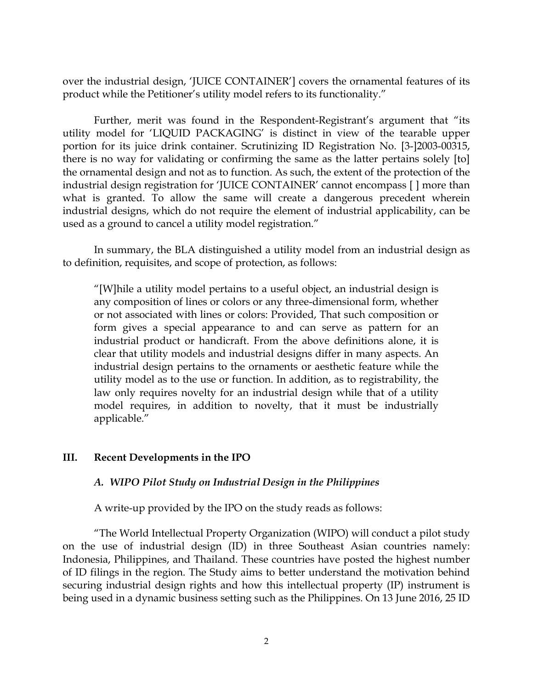over the industrial design, 'JUICE CONTAINER'] covers the ornamental features of its product while the Petitioner's utility model refers to its functionality."

Further, merit was found in the Respondent-Registrant's argument that "its utility model for 'LIQUID PACKAGING' is distinct in view of the tearable upper portion for its juice drink container. Scrutinizing ID Registration No. [3-]2003-00315, there is no way for validating or confirming the same as the latter pertains solely [to] the ornamental design and not as to function. As such, the extent of the protection of the industrial design registration for 'JUICE CONTAINER' cannot encompass [ ] more than what is granted. To allow the same will create a dangerous precedent wherein industrial designs, which do not require the element of industrial applicability, can be used as a ground to cancel a utility model registration."

In summary, the BLA distinguished a utility model from an industrial design as to definition, requisites, and scope of protection, as follows:

"[W]hile a utility model pertains to a useful object, an industrial design is any composition of lines or colors or any three-dimensional form, whether or not associated with lines or colors: Provided, That such composition or form gives a special appearance to and can serve as pattern for an industrial product or handicraft. From the above definitions alone, it is clear that utility models and industrial designs differ in many aspects. An industrial design pertains to the ornaments or aesthetic feature while the utility model as to the use or function. In addition, as to registrability, the law only requires novelty for an industrial design while that of a utility model requires, in addition to novelty, that it must be industrially applicable."

#### **III. Recent Developments in the IPO**

#### *A. WIPO Pilot Study on Industrial Design in the Philippines*

A write-up provided by the IPO on the study reads as follows:

"The World Intellectual Property Organization (WIPO) will conduct a pilot study on the use of industrial design (ID) in three Southeast Asian countries namely: Indonesia, Philippines, and Thailand. These countries have posted the highest number of ID filings in the region. The Study aims to better understand the motivation behind securing industrial design rights and how this intellectual property (IP) instrument is being used in a dynamic business setting such as the Philippines. On 13 June 2016, 25 ID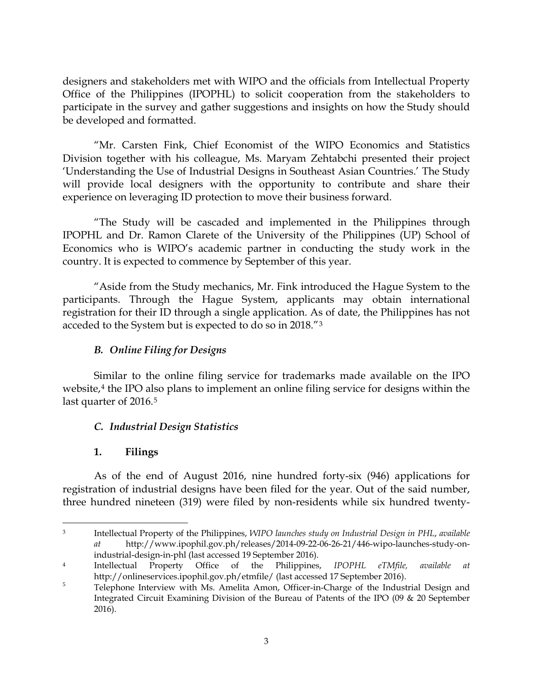designers and stakeholders met with WIPO and the officials from Intellectual Property Office of the Philippines (IPOPHL) to solicit cooperation from the stakeholders to participate in the survey and gather suggestions and insights on how the Study should be developed and formatted.

"Mr. Carsten Fink, Chief Economist of the WIPO Economics and Statistics Division together with his colleague, Ms. Maryam Zehtabchi presented their project 'Understanding the Use of Industrial Designs in Southeast Asian Countries.' The Study will provide local designers with the opportunity to contribute and share their experience on leveraging ID protection to move their business forward.

"The Study will be cascaded and implemented in the Philippines through IPOPHL and Dr. Ramon Clarete of the University of the Philippines (UP) School of Economics who is WIPO's academic partner in conducting the study work in the country. It is expected to commence by September of this year.

"Aside from the Study mechanics, Mr. Fink introduced the Hague System to the participants. Through the Hague System, applicants may obtain international registration for their ID through a single application. As of date, the Philippines has not acceded to the System but is expected to do so in 2018."[3](#page-2-0)

# *B. Online Filing for Designs*

Similar to the online filing service for trademarks made available on the IPO website,<sup>[4](#page-2-1)</sup> the IPO also plans to implement an online filing service for designs within the last quarter of 2016.<sup>[5](#page-2-2)</sup>

# *C. Industrial Design Statistics*

# **1. Filings**

As of the end of August 2016, nine hundred forty-six (946) applications for registration of industrial designs have been filed for the year. Out of the said number, three hundred nineteen (319) were filed by non-residents while six hundred twenty-

<span id="page-2-0"></span> $\overline{a}$ <sup>3</sup> Intellectual Property of the Philippines, *WIPO launches study on Industrial Design in PHL*, *available at* http://www.ipophil.gov.ph/releases/2014-09-22-06-26-21/446-wipo-launches-study-onindustrial-design-in-phl (last accessed 19 September 2016).

<span id="page-2-1"></span><sup>4</sup> Intellectual Property Office of the Philippines, *IPOPHL eTMfile, available at*  http://onlineservices.ipophil.gov.ph/etmfile/ (last accessed 17 September 2016).

<span id="page-2-2"></span><sup>&</sup>lt;sup>5</sup> Telephone Interview with Ms. Amelita Amon, Officer-in-Charge of the Industrial Design and Integrated Circuit Examining Division of the Bureau of Patents of the IPO (09 & 20 September 2016).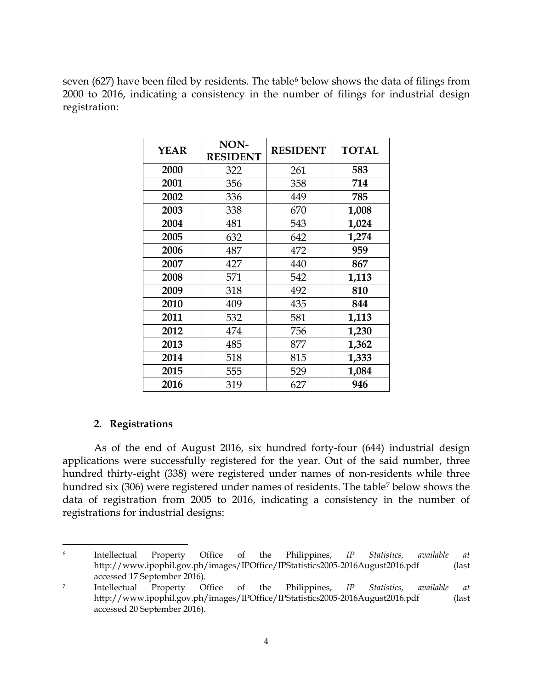seven ([6](#page-3-0)27) have been filed by residents. The table<sup>6</sup> below shows the data of filings from 2000 to 2016, indicating a consistency in the number of filings for industrial design registration:

| <b>YEAR</b> | NON-<br><b>RESIDENT</b> | <b>RESIDENT</b> | <b>TOTAL</b> |
|-------------|-------------------------|-----------------|--------------|
| 2000        | 322                     | 261             | 583          |
| 2001        | 356                     | 358             | 714          |
| 2002        | 336                     | 449             | 785          |
| 2003        | 338                     | 670             | 1,008        |
| 2004        | 481                     | 543             | 1,024        |
| 2005        | 632                     | 642             | 1,274        |
| 2006        | 487                     | 472             | 959          |
| 2007        | 427                     | 440             | 867          |
| 2008        | 571                     | 542             | 1,113        |
| 2009        | 318                     | 492             | 810          |
| 2010        | 409                     | 435             | 844          |
| 2011        | 532                     | 581             | 1,113        |
| 2012        | 474                     | 756             | 1,230        |
| 2013        | 485                     | 877             | 1,362        |
| 2014        | 518                     | 815             | 1,333        |
| 2015        | 555                     | 529             | 1,084        |
| 2016        | 319                     | 627             | 946          |

### **2. Registrations**

As of the end of August 2016, six hundred forty-four (644) industrial design applications were successfully registered for the year. Out of the said number, three hundred thirty-eight (338) were registered under names of non-residents while three hundred six (306) were registered under names of residents. The table[7](#page-3-1) below shows the data of registration from 2005 to 2016, indicating a consistency in the number of registrations for industrial designs:

<span id="page-3-0"></span> $\overline{a}$ <sup>6</sup> Intellectual Property Office of the Philippines, *IP Statistics, available at* http://www.ipophil.gov.ph/images/IPOffice/IPStatistics2005-2016August2016.pdf (last accessed 17 September 2016).

<span id="page-3-1"></span><sup>7</sup> Intellectual Property Office of the Philippines, *IP Statistics, available at* http://www.ipophil.gov.ph/images/IPOffice/IPStatistics2005-2016August2016.pdf (last accessed 20 September 2016).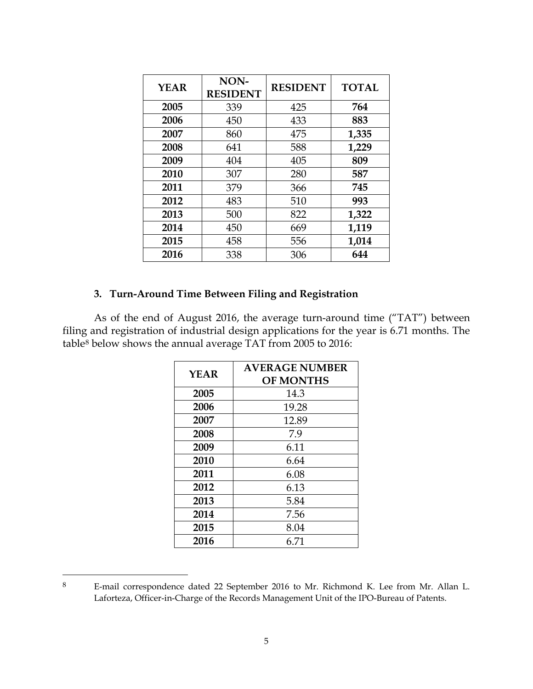| <b>YEAR</b> | NON-<br><b>RESIDENT</b> | <b>RESIDENT</b> | <b>TOTAL</b> |
|-------------|-------------------------|-----------------|--------------|
| 2005        | 339                     | 425             | 764          |
| 2006        | 450                     | 433             | 883          |
| 2007        | 860                     | 475             | 1,335        |
| 2008        | 641                     | 588             | 1,229        |
| 2009        | 404                     | 405             | 809          |
| 2010        | 307                     | 280             | 587          |
| 2011        | 379                     | 366             | 745          |
| 2012        | 483                     | 510             | 993          |
| 2013        | 500                     | 822             | 1,322        |
| 2014        | 450                     | 669             | 1,119        |
| 2015        | 458                     | 556             | 1,014        |
| 2016        | 338                     | 306             | 644          |

## **3. Turn-Around Time Between Filing and Registration**

As of the end of August 2016, the average turn-around time ("TAT") between filing and registration of industrial design applications for the year is 6.71 months. The table[8](#page-4-0) below shows the annual average TAT from 2005 to 2016:

| <b>YEAR</b> | <b>AVERAGE NUMBER</b><br><b>OF MONTHS</b> |  |
|-------------|-------------------------------------------|--|
| 2005        | 14.3                                      |  |
| 2006        | 19.28                                     |  |
| 2007        | 12.89                                     |  |
| 2008        | 7.9                                       |  |
| 2009        | 6.11                                      |  |
| 2010        | 6.64                                      |  |
| 2011        | 6.08                                      |  |
| 2012        | 6.13                                      |  |
| 2013        | 5.84                                      |  |
| 2014        | 7.56                                      |  |
| 2015        | 8.04                                      |  |
| 2016        | 6.71                                      |  |

<span id="page-4-0"></span> E-mail correspondence dated 22 September 2016 to Mr. Richmond K. Lee from Mr. Allan L. Laforteza, Officer-in-Charge of the Records Management Unit of the IPO-Bureau of Patents.

 $\overline{a}$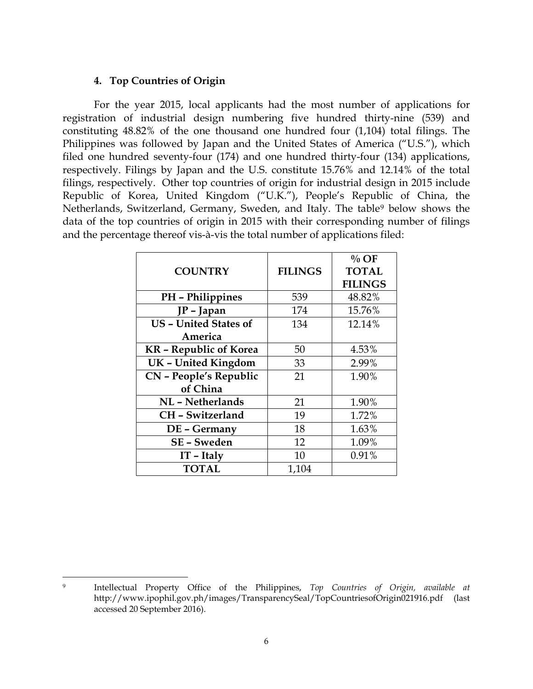#### **4. Top Countries of Origin**

For the year 2015, local applicants had the most number of applications for registration of industrial design numbering five hundred thirty-nine (539) and constituting 48.82% of the one thousand one hundred four (1,104) total filings. The Philippines was followed by Japan and the United States of America ("U.S."), which filed one hundred seventy-four (174) and one hundred thirty-four (134) applications, respectively. Filings by Japan and the U.S. constitute 15.76% and 12.14% of the total filings, respectively. Other top countries of origin for industrial design in 2015 include Republic of Korea, United Kingdom ("U.K."), People's Republic of China, the Netherlands, Switzerland, Germany, Sweden, and Italy. The table<sup>[9](#page-5-0)</sup> below shows the data of the top countries of origin in 2015 with their corresponding number of filings and the percentage thereof vis-à-vis the total number of applications filed:

|                               |                | $\%$ OF        |
|-------------------------------|----------------|----------------|
| <b>COUNTRY</b>                | <b>FILINGS</b> | <b>TOTAL</b>   |
|                               |                | <b>FILINGS</b> |
| PH - Philippines              | 539            | 48.82%         |
| JP - Japan                    | 174            | 15.76%         |
| <b>US - United States of</b>  | 134            | 12.14%         |
| America                       |                |                |
| <b>KR</b> - Republic of Korea | 50             | 4.53%          |
| <b>UK</b> - United Kingdom    | 33             | 2.99%          |
| CN - People's Republic        | 21             | 1.90%          |
| of China                      |                |                |
| NL - Netherlands              | 21             | 1.90%          |
| CH - Switzerland              | 19             | 1.72%          |
| DE - Germany                  | 18             | 1.63%          |
| SE - Sweden                   | 12             | 1.09%          |
| $IT$ – Italy                  | 10             | 0.91%          |
| <b>TOTAL</b>                  | 1,104          |                |

<span id="page-5-0"></span> $\overline{a}$ <sup>9</sup> Intellectual Property Office of the Philippines, *Top Countries of Origin, available at* http://www.ipophil.gov.ph/images/TransparencySeal/TopCountriesofOrigin021916.pdf (last accessed 20 September 2016).